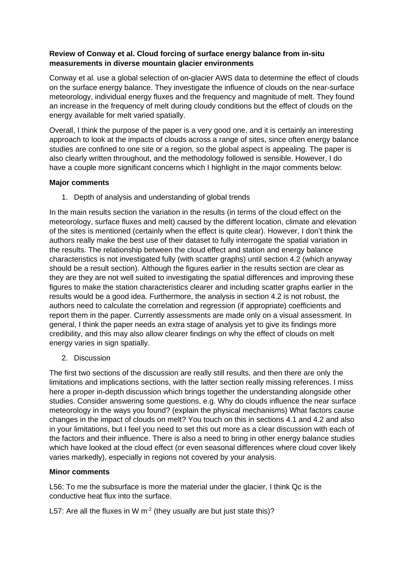## **Review of Conway et al. Cloud forcing of surface energy balance from in-situ measurements in diverse mountain glacier environments**

Conway et al. use a global selection of on-glacier AWS data to determine the effect of clouds on the surface energy balance. They investigate the influence of clouds on the near-surface meteorology, individual energy fluxes and the frequency and magnitude of melt. They found an increase in the frequency of melt during cloudy conditions but the effect of clouds on the energy available for melt varied spatially.

Overall, I think the purpose of the paper is a very good one, and it is certainly an interesting approach to look at the impacts of clouds across a range of sites, since often energy balance studies are confined to one site or a region, so the global aspect is appealing. The paper is also clearly written throughout, and the methodology followed is sensible. However, I do have a couple more significant concerns which I highlight in the major comments below:

## **Major comments**

1. Depth of analysis and understanding of global trends

In the main results section the variation in the results (in terms of the cloud effect on the meteorology, surface fluxes and melt) caused by the different location, climate and elevation of the sites is mentioned (certainly when the effect is quite clear). However, I don't think the authors really make the best use of their dataset to fully interrogate the spatial variation in the results. The relationship between the cloud effect and station and energy balance characteristics is not investigated fully (with scatter graphs) until section 4.2 (which anyway should be a result section). Although the figures earlier in the results section are clear as they are they are not well suited to investigating the spatial differences and improving these figures to make the station characteristics clearer and including scatter graphs earlier in the results would be a good idea. Furthermore, the analysis in section 4.2 is not robust, the authors need to calculate the correlation and regression (if appropriate) coefficients and report them in the paper. Currently assessments are made only on a visual assessment. In general, I think the paper needs an extra stage of analysis yet to give its findings more credibility, and this may also allow clearer findings on why the effect of clouds on melt energy varies in sign spatially.

2. Discussion

The first two sections of the discussion are really still results, and then there are only the limitations and implications sections, with the latter section really missing references. I miss here a proper in-depth discussion which brings together the understanding alongside other studies. Consider answering some questions, e.g. Why do clouds influence the near surface meteorology in the ways you found? (explain the physical mechanisms) What factors cause changes in the impact of clouds on melt? You touch on this in sections 4.1 and 4.2 and also in your limitations, but I feel you need to set this out more as a clear discussion with each of the factors and their influence. There is also a need to bring in other energy balance studies which have looked at the cloud effect (or even seasonal differences where cloud cover likely varies markedly), especially in regions not covered by your analysis.

## **Minor comments**

L56: To me the subsurface is more the material under the glacier, I think Qc is the conductive heat flux into the surface.

L57: Are all the fluxes in W  $m<sup>-2</sup>$  (they usually are but just state this)?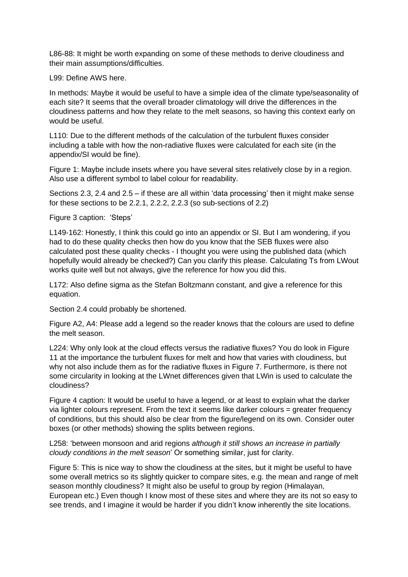L86-88: It might be worth expanding on some of these methods to derive cloudiness and their main assumptions/difficulties.

L99: Define AWS here.

In methods: Maybe it would be useful to have a simple idea of the climate type/seasonality of each site? It seems that the overall broader climatology will drive the differences in the cloudiness patterns and how they relate to the melt seasons, so having this context early on would be useful.

L110: Due to the different methods of the calculation of the turbulent fluxes consider including a table with how the non-radiative fluxes were calculated for each site (in the appendix/SI would be fine).

Figure 1: Maybe include insets where you have several sites relatively close by in a region. Also use a different symbol to label colour for readability.

Sections 2.3, 2.4 and 2.5 – if these are all within 'data processing' then it might make sense for these sections to be 2.2.1, 2.2.2, 2.2.3 (so sub-sections of 2.2)

Figure 3 caption: 'Steps'

L149-162: Honestly, I think this could go into an appendix or SI. But I am wondering, if you had to do these quality checks then how do you know that the SEB fluxes were also calculated post these quality checks - I thought you were using the published data (which hopefully would already be checked?) Can you clarify this please. Calculating Ts from LWout works quite well but not always, give the reference for how you did this.

L172: Also define sigma as the Stefan Boltzmann constant, and give a reference for this equation.

Section 2.4 could probably be shortened.

Figure A2, A4: Please add a legend so the reader knows that the colours are used to define the melt season.

L224: Why only look at the cloud effects versus the radiative fluxes? You do look in Figure 11 at the importance the turbulent fluxes for melt and how that varies with cloudiness, but why not also include them as for the radiative fluxes in Figure 7. Furthermore, is there not some circularity in looking at the LWnet differences given that LWin is used to calculate the cloudiness?

Figure 4 caption: It would be useful to have a legend, or at least to explain what the darker via lighter colours represent. From the text it seems like darker colours = greater frequency of conditions, but this should also be clear from the figure/legend on its own. Consider outer boxes (or other methods) showing the splits between regions.

L258: 'between monsoon and arid regions *although it still shows an increase in partially cloudy conditions in the melt season*' Or something similar, just for clarity.

Figure 5: This is nice way to show the cloudiness at the sites, but it might be useful to have some overall metrics so its slightly quicker to compare sites, e.g. the mean and range of melt season monthly cloudiness? It might also be useful to group by region (Himalayan, European etc.) Even though I know most of these sites and where they are its not so easy to see trends, and I imagine it would be harder if you didn't know inherently the site locations.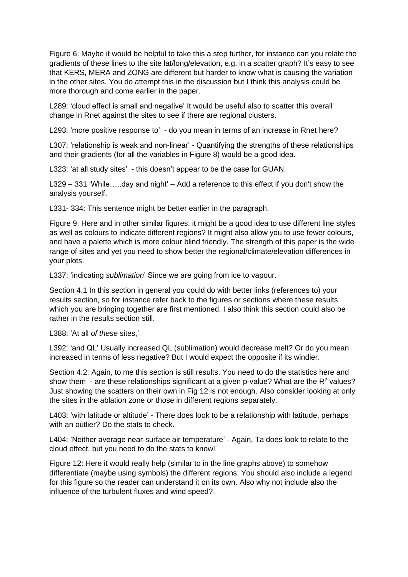Figure 6: Maybe it would be helpful to take this a step further, for instance can you relate the gradients of these lines to the site lat/long/elevation, e.g. in a scatter graph? It's easy to see that KERS, MERA and ZONG are different but harder to know what is causing the variation in the other sites. You do attempt this in the discussion but I think this analysis could be more thorough and come earlier in the paper.

L289: 'cloud effect is small and negative' It would be useful also to scatter this overall change in Rnet against the sites to see if there are regional clusters.

L293: 'more positive response to' - do you mean in terms of an increase in Rnet here?

L307: 'relationship is weak and non-linear' - Quantifying the strengths of these relationships and their gradients (for all the variables in Figure 8) would be a good idea.

L323: 'at all study sites' - this doesn't appear to be the case for GUAN.

L329 – 331 'While…..day and night' – Add a reference to this effect if you don't show the analysis yourself.

L331- 334: This sentence might be better earlier in the paragraph.

Figure 9: Here and in other similar figures, it might be a good idea to use different line styles as well as colours to indicate different regions? It might also allow you to use fewer colours, and have a palette which is more colour blind friendly. The strength of this paper is the wide range of sites and yet you need to show better the regional/climate/elevation differences in your plots.

L337: 'indicating *sublimation*' Since we are going from ice to vapour.

Section 4.1 In this section in general you could do with better links (references to) your results section, so for instance refer back to the figures or sections where these results which you are bringing together are first mentioned. I also think this section could also be rather in the results section still.

L388: 'At all *of these* sites,'

L392: 'and QL' Usually increased QL (sublimation) would decrease melt? Or do you mean increased in terms of less negative? But I would expect the opposite if its windier.

Section 4.2: Again, to me this section is still results. You need to do the statistics here and show them - are these relationships significant at a given p-value? What are the  $R^2$  values? Just showing the scatters on their own in Fig 12 is not enough. Also consider looking at only the sites in the ablation zone or those in different regions separately.

L403: 'with latitude or altitude' - There does look to be a relationship with latitude, perhaps with an outlier? Do the stats to check.

L404: 'Neither average near-surface air temperature' - Again, Ta does look to relate to the cloud effect, but you need to do the stats to know!

Figure 12: Here it would really help (similar to in the line graphs above) to somehow differentiate (maybe using symbols) the different regions. You should also include a legend for this figure so the reader can understand it on its own. Also why not include also the influence of the turbulent fluxes and wind speed?